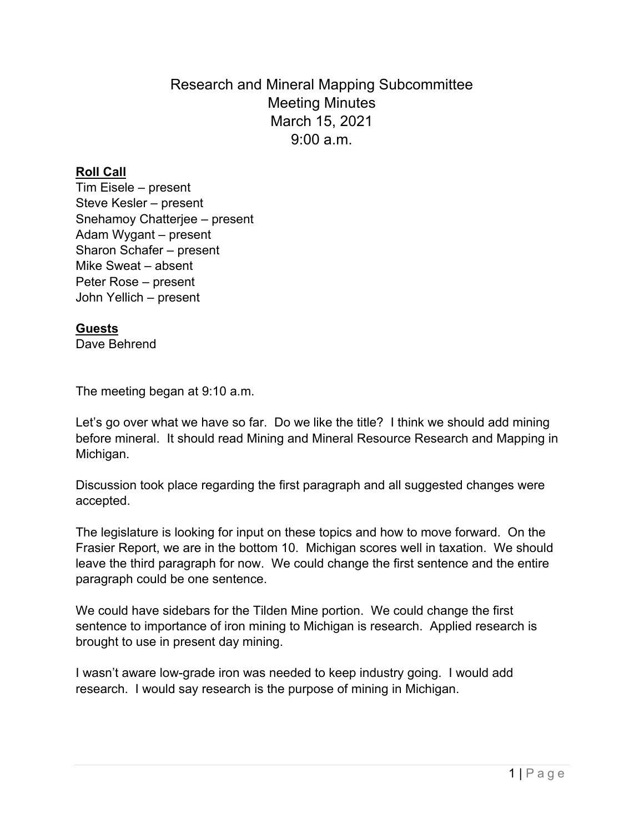Research and Mineral Mapping Subcommittee Meeting Minutes March 15, 2021  $9.00 a m$ 

## **Roll Call**

Tim Eisele – present Steve Kesler – present Snehamoy Chatterjee – present Adam Wygant – present Sharon Schafer – present Mike Sweat – absent Peter Rose – present John Yellich – present

## **Guests**

Dave Behrend

The meeting began at 9:10 a.m.

Let's go over what we have so far. Do we like the title? I think we should add mining before mineral. It should read Mining and Mineral Resource Research and Mapping in Michigan.

Discussion took place regarding the first paragraph and all suggested changes were accepted.

The legislature is looking for input on these topics and how to move forward. On the Frasier Report, we are in the bottom 10. Michigan scores well in taxation. We should leave the third paragraph for now. We could change the first sentence and the entire paragraph could be one sentence.

We could have sidebars for the Tilden Mine portion. We could change the first sentence to importance of iron mining to Michigan is research. Applied research is brought to use in present day mining.

I wasn't aware low-grade iron was needed to keep industry going. I would add research. I would say research is the purpose of mining in Michigan.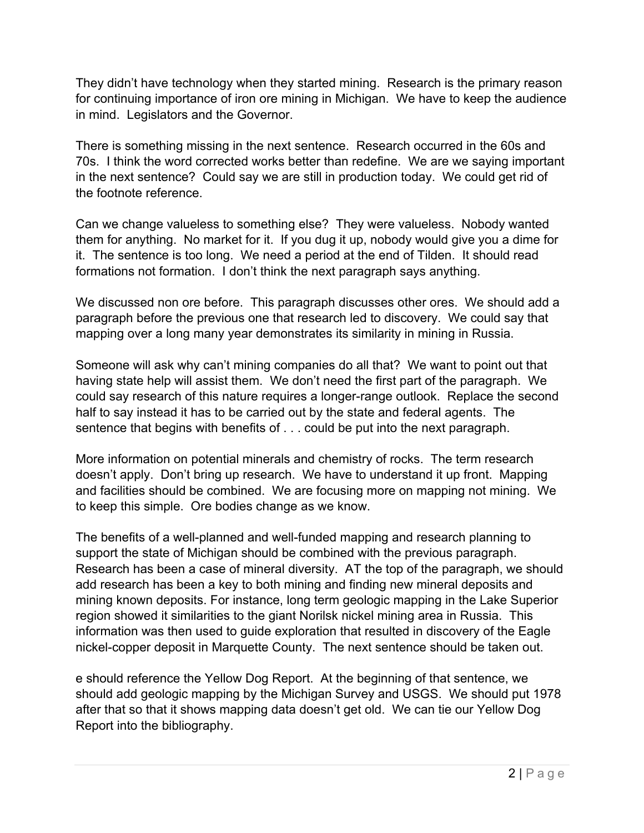They didn't have technology when they started mining. Research is the primary reason for continuing importance of iron ore mining in Michigan. We have to keep the audience in mind. Legislators and the Governor.

There is something missing in the next sentence. Research occurred in the 60s and 70s. I think the word corrected works better than redefine. We are we saying important in the next sentence? Could say we are still in production today. We could get rid of the footnote reference.

Can we change valueless to something else? They were valueless. Nobody wanted them for anything. No market for it. If you dug it up, nobody would give you a dime for it. The sentence is too long. We need a period at the end of Tilden. It should read formations not formation. I don't think the next paragraph says anything.

We discussed non ore before. This paragraph discusses other ores. We should add a paragraph before the previous one that research led to discovery. We could say that mapping over a long many year demonstrates its similarity in mining in Russia.

Someone will ask why can't mining companies do all that? We want to point out that having state help will assist them. We don't need the first part of the paragraph. We could say research of this nature requires a longer-range outlook. Replace the second half to say instead it has to be carried out by the state and federal agents. The sentence that begins with benefits of . . . could be put into the next paragraph.

More information on potential minerals and chemistry of rocks. The term research doesn't apply. Don't bring up research. We have to understand it up front. Mapping and facilities should be combined. We are focusing more on mapping not mining. We to keep this simple. Ore bodies change as we know.

The benefits of a well-planned and well-funded mapping and research planning to support the state of Michigan should be combined with the previous paragraph. Research has been a case of mineral diversity. AT the top of the paragraph, we should add research has been a key to both mining and finding new mineral deposits and mining known deposits. For instance, long term geologic mapping in the Lake Superior region showed it similarities to the giant Norilsk nickel mining area in Russia. This information was then used to guide exploration that resulted in discovery of the Eagle nickel-copper deposit in Marquette County. The next sentence should be taken out.

e should reference the Yellow Dog Report. At the beginning of that sentence, we should add geologic mapping by the Michigan Survey and USGS. We should put 1978 after that so that it shows mapping data doesn't get old. We can tie our Yellow Dog Report into the bibliography.